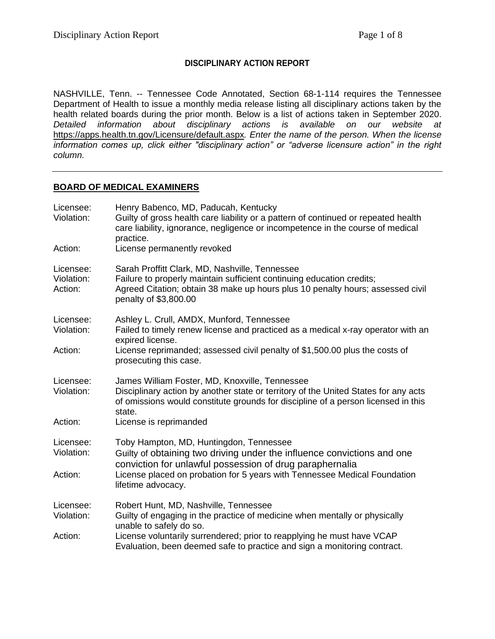### **DISCIPLINARY ACTION REPORT**

NASHVILLE, Tenn. -- Tennessee Code Annotated, Section 68-1-114 requires the Tennessee Department of Health to issue a monthly media release listing all disciplinary actions taken by the health related boards during the prior month. Below is a list of actions taken in September 2020. *Detailed information about disciplinary actions is available on our website at*  <https://apps.health.tn.gov/Licensure/default.aspx>*. Enter the name of the person. When the license information comes up, click either "disciplinary action" or "adverse licensure action" in the right column.*

#### **BOARD OF MEDICAL EXAMINERS**

| Licensee:<br>Violation:<br>Action: | Henry Babenco, MD, Paducah, Kentucky<br>Guilty of gross health care liability or a pattern of continued or repeated health<br>care liability, ignorance, negligence or incompetence in the course of medical<br>practice.<br>License permanently revoked       |
|------------------------------------|----------------------------------------------------------------------------------------------------------------------------------------------------------------------------------------------------------------------------------------------------------------|
| Licensee:<br>Violation:<br>Action: | Sarah Proffitt Clark, MD, Nashville, Tennessee<br>Failure to properly maintain sufficient continuing education credits;<br>Agreed Citation; obtain 38 make up hours plus 10 penalty hours; assessed civil<br>penalty of \$3,800.00                             |
| Licensee:<br>Violation:            | Ashley L. Crull, AMDX, Munford, Tennessee<br>Failed to timely renew license and practiced as a medical x-ray operator with an<br>expired license.                                                                                                              |
| Action:                            | License reprimanded; assessed civil penalty of \$1,500.00 plus the costs of<br>prosecuting this case.                                                                                                                                                          |
| Licensee:<br>Violation:<br>Action: | James William Foster, MD, Knoxville, Tennessee<br>Disciplinary action by another state or territory of the United States for any acts<br>of omissions would constitute grounds for discipline of a person licensed in this<br>state.<br>License is reprimanded |
|                                    |                                                                                                                                                                                                                                                                |
| Licensee:<br>Violation:            | Toby Hampton, MD, Huntingdon, Tennessee<br>Guilty of obtaining two driving under the influence convictions and one<br>conviction for unlawful possession of drug paraphernalia                                                                                 |
| Action:                            | License placed on probation for 5 years with Tennessee Medical Foundation<br>lifetime advocacy.                                                                                                                                                                |
| Licensee:                          | Robert Hunt, MD, Nashville, Tennessee                                                                                                                                                                                                                          |
| Violation:                         | Guilty of engaging in the practice of medicine when mentally or physically<br>unable to safely do so.                                                                                                                                                          |
| Action:                            | License voluntarily surrendered; prior to reapplying he must have VCAP<br>Evaluation, been deemed safe to practice and sign a monitoring contract.                                                                                                             |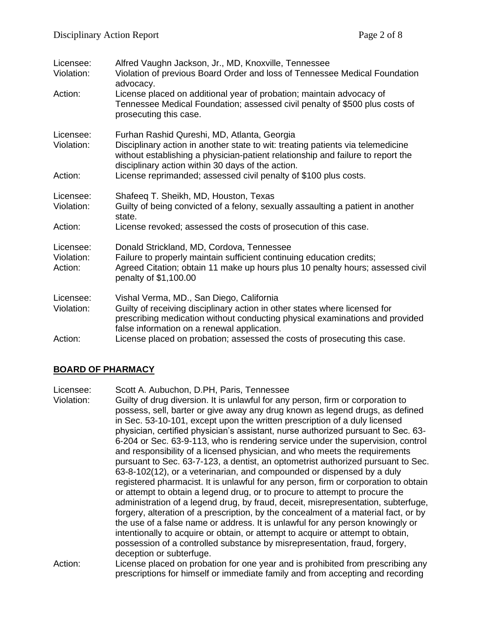| Licensee:<br>Violation:            | Alfred Vaughn Jackson, Jr., MD, Knoxville, Tennessee<br>Violation of previous Board Order and loss of Tennessee Medical Foundation<br>advocacy.                                                                                                                                                                                            |
|------------------------------------|--------------------------------------------------------------------------------------------------------------------------------------------------------------------------------------------------------------------------------------------------------------------------------------------------------------------------------------------|
| Action:                            | License placed on additional year of probation; maintain advocacy of<br>Tennessee Medical Foundation; assessed civil penalty of \$500 plus costs of<br>prosecuting this case.                                                                                                                                                              |
| Licensee:<br>Violation:<br>Action: | Furhan Rashid Qureshi, MD, Atlanta, Georgia<br>Disciplinary action in another state to wit: treating patients via telemedicine<br>without establishing a physician-patient relationship and failure to report the<br>disciplinary action within 30 days of the action.<br>License reprimanded; assessed civil penalty of \$100 plus costs. |
|                                    |                                                                                                                                                                                                                                                                                                                                            |
| Licensee:<br>Violation:            | Shafeeq T. Sheikh, MD, Houston, Texas<br>Guilty of being convicted of a felony, sexually assaulting a patient in another<br>state.                                                                                                                                                                                                         |
| Action:                            | License revoked; assessed the costs of prosecution of this case.                                                                                                                                                                                                                                                                           |
| Licensee:<br>Violation:<br>Action: | Donald Strickland, MD, Cordova, Tennessee<br>Failure to properly maintain sufficient continuing education credits;<br>Agreed Citation; obtain 11 make up hours plus 10 penalty hours; assessed civil<br>penalty of \$1,100.00                                                                                                              |
| Licensee:<br>Violation:            | Vishal Verma, MD., San Diego, California<br>Guilty of receiving disciplinary action in other states where licensed for<br>prescribing medication without conducting physical examinations and provided<br>false information on a renewal application.                                                                                      |
| Action:                            | License placed on probation; assessed the costs of prosecuting this case.                                                                                                                                                                                                                                                                  |

## **BOARD OF PHARMACY**

Licensee: Scott A. Aubuchon, D.PH, Paris, Tennessee

Violation: Guilty of drug diversion. It is unlawful for any person, firm or corporation to possess, sell, barter or give away any drug known as legend drugs, as defined in Sec. 53-10-101, except upon the written prescription of a duly licensed physician, certified physician's assistant, nurse authorized pursuant to Sec. 63- 6-204 or Sec. 63-9-113, who is rendering service under the supervision, control and responsibility of a licensed physician, and who meets the requirements pursuant to Sec. 63-7-123, a dentist, an optometrist authorized pursuant to Sec. 63-8-102(12), or a veterinarian, and compounded or dispensed by a duly registered pharmacist. It is unlawful for any person, firm or corporation to obtain or attempt to obtain a legend drug, or to procure to attempt to procure the administration of a legend drug, by fraud, deceit, misrepresentation, subterfuge, forgery, alteration of a prescription, by the concealment of a material fact, or by the use of a false name or address. It is unlawful for any person knowingly or intentionally to acquire or obtain, or attempt to acquire or attempt to obtain, possession of a controlled substance by misrepresentation, fraud, forgery, deception or subterfuge.

Action: License placed on probation for one year and is prohibited from prescribing any prescriptions for himself or immediate family and from accepting and recording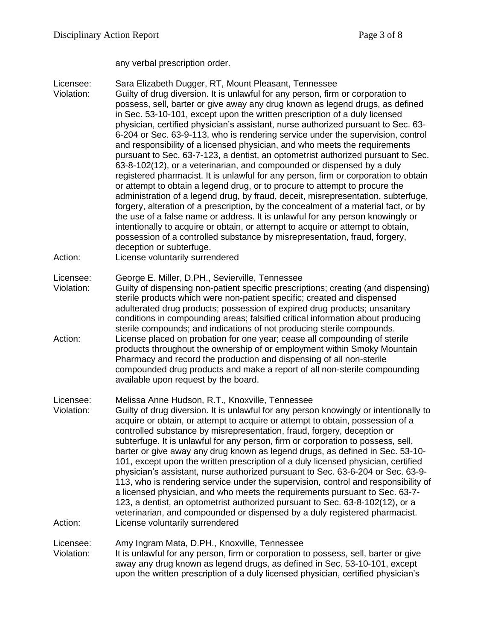any verbal prescription order.

Licensee: Sara Elizabeth Dugger, RT, Mount Pleasant, Tennessee Violation: Guilty of drug diversion. It is unlawful for any person, firm or corporation to possess, sell, barter or give away any drug known as legend drugs, as defined in Sec. 53-10-101, except upon the written prescription of a duly licensed physician, certified physician's assistant, nurse authorized pursuant to Sec. 63- 6-204 or Sec. 63-9-113, who is rendering service under the supervision, control and responsibility of a licensed physician, and who meets the requirements pursuant to Sec. 63-7-123, a dentist, an optometrist authorized pursuant to Sec. 63-8-102(12), or a veterinarian, and compounded or dispensed by a duly registered pharmacist. It is unlawful for any person, firm or corporation to obtain or attempt to obtain a legend drug, or to procure to attempt to procure the administration of a legend drug, by fraud, deceit, misrepresentation, subterfuge, forgery, alteration of a prescription, by the concealment of a material fact, or by the use of a false name or address. It is unlawful for any person knowingly or intentionally to acquire or obtain, or attempt to acquire or attempt to obtain, possession of a controlled substance by misrepresentation, fraud, forgery, deception or subterfuge. Action: License voluntarily surrendered Licensee: George E. Miller, D.PH., Sevierville, Tennessee Violation: Guilty of dispensing non-patient specific prescriptions; creating (and dispensing) sterile products which were non-patient specific; created and dispensed adulterated drug products; possession of expired drug products; unsanitary conditions in compounding areas; falsified critical information about producing sterile compounds; and indications of not producing sterile compounds. Action: License placed on probation for one year; cease all compounding of sterile products throughout the ownership of or employment within Smoky Mountain Pharmacy and record the production and dispensing of all non-sterile compounded drug products and make a report of all non-sterile compounding available upon request by the board. Licensee: Melissa Anne Hudson, R.T., Knoxville, Tennessee Violation: Guilty of drug diversion. It is unlawful for any person knowingly or intentionally to acquire or obtain, or attempt to acquire or attempt to obtain, possession of a controlled substance by misrepresentation, fraud, forgery, deception or subterfuge. It is unlawful for any person, firm or corporation to possess, sell, barter or give away any drug known as legend drugs, as defined in Sec. 53-10- 101, except upon the written prescription of a duly licensed physician, certified physician's assistant, nurse authorized pursuant to Sec. 63-6-204 or Sec. 63-9- 113, who is rendering service under the supervision, control and responsibility of a licensed physician, and who meets the requirements pursuant to Sec. 63-7- 123, a dentist, an optometrist authorized pursuant to Sec. 63-8-102(12), or a veterinarian, and compounded or dispensed by a duly registered pharmacist. Action: License voluntarily surrendered Licensee: Amy Ingram Mata, D.PH., Knoxville, Tennessee Violation: It is unlawful for any person, firm or corporation to possess, sell, barter or give away any drug known as legend drugs, as defined in Sec. 53-10-101, except upon the written prescription of a duly licensed physician, certified physician's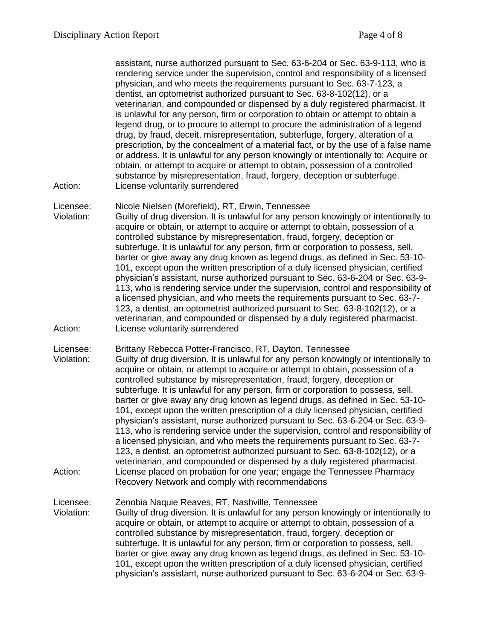assistant, nurse authorized pursuant to Sec. 63-6-204 or Sec. 63-9-113, who is rendering service under the supervision, control and responsibility of a licensed physician, and who meets the requirements pursuant to Sec. 63-7-123, a dentist, an optometrist authorized pursuant to Sec. 63-8-102(12), or a veterinarian, and compounded or dispensed by a duly registered pharmacist. It is unlawful for any person, firm or corporation to obtain or attempt to obtain a legend drug, or to procure to attempt to procure the administration of a legend drug, by fraud, deceit, misrepresentation, subterfuge, forgery, alteration of a prescription, by the concealment of a material fact, or by the use of a false name or address. It is unlawful for any person knowingly or intentionally to: Acquire or obtain, or attempt to acquire or attempt to obtain, possession of a controlled substance by misrepresentation, fraud, forgery, deception or subterfuge. Action: License voluntarily surrendered

Licensee: Nicole Nielsen (Morefield), RT, Erwin, Tennessee

- Violation: Guilty of drug diversion. It is unlawful for any person knowingly or intentionally to acquire or obtain, or attempt to acquire or attempt to obtain, possession of a controlled substance by misrepresentation, fraud, forgery, deception or subterfuge. It is unlawful for any person, firm or corporation to possess, sell, barter or give away any drug known as legend drugs, as defined in Sec. 53-10- 101, except upon the written prescription of a duly licensed physician, certified physician's assistant, nurse authorized pursuant to Sec. 63-6-204 or Sec. 63-9- 113, who is rendering service under the supervision, control and responsibility of a licensed physician, and who meets the requirements pursuant to Sec. 63-7- 123, a dentist, an optometrist authorized pursuant to Sec. 63-8-102(12), or a veterinarian, and compounded or dispensed by a duly registered pharmacist. Action: License voluntarily surrendered
- Licensee: Brittany Rebecca Potter-Francisco, RT, Dayton, Tennessee Violation: Guilty of drug diversion. It is unlawful for any person knowingly or intentionally to acquire or obtain, or attempt to acquire or attempt to obtain, possession of a controlled substance by misrepresentation, fraud, forgery, deception or subterfuge. It is unlawful for any person, firm or corporation to possess, sell, barter or give away any drug known as legend drugs, as defined in Sec. 53-10- 101, except upon the written prescription of a duly licensed physician, certified physician's assistant, nurse authorized pursuant to Sec. 63-6-204 or Sec. 63-9- 113, who is rendering service under the supervision, control and responsibility of a licensed physician, and who meets the requirements pursuant to Sec. 63-7- 123, a dentist, an optometrist authorized pursuant to Sec. 63-8-102(12), or a veterinarian, and compounded or dispensed by a duly registered pharmacist. Action: License placed on probation for one year; engage the Tennessee Pharmacy Recovery Network and comply with recommendations
- Licensee: Zenobia Naquie Reaves, RT, Nashville, Tennessee Violation: Guilty of drug diversion. It is unlawful for any person knowingly or intentionally to acquire or obtain, or attempt to acquire or attempt to obtain, possession of a controlled substance by misrepresentation, fraud, forgery, deception or subterfuge. It is unlawful for any person, firm or corporation to possess, sell, barter or give away any drug known as legend drugs, as defined in Sec. 53-10- 101, except upon the written prescription of a duly licensed physician, certified physician's assistant, nurse authorized pursuant to Sec. 63-6-204 or Sec. 63-9-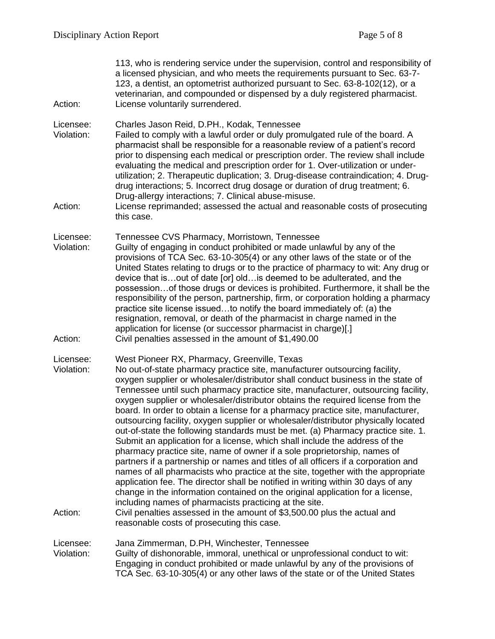| Action:                            | 113, who is rendering service under the supervision, control and responsibility of<br>a licensed physician, and who meets the requirements pursuant to Sec. 63-7-<br>123, a dentist, an optometrist authorized pursuant to Sec. 63-8-102(12), or a<br>veterinarian, and compounded or dispensed by a duly registered pharmacist.<br>License voluntarily surrendered.                                                                                                                                                                                                                                                                                                                                                                                                                                                                                                                                                                                                                                                                                                                                                                                                                                                                                                                                                                              |
|------------------------------------|---------------------------------------------------------------------------------------------------------------------------------------------------------------------------------------------------------------------------------------------------------------------------------------------------------------------------------------------------------------------------------------------------------------------------------------------------------------------------------------------------------------------------------------------------------------------------------------------------------------------------------------------------------------------------------------------------------------------------------------------------------------------------------------------------------------------------------------------------------------------------------------------------------------------------------------------------------------------------------------------------------------------------------------------------------------------------------------------------------------------------------------------------------------------------------------------------------------------------------------------------------------------------------------------------------------------------------------------------|
| Licensee:<br>Violation:<br>Action: | Charles Jason Reid, D.PH., Kodak, Tennessee<br>Failed to comply with a lawful order or duly promulgated rule of the board. A<br>pharmacist shall be responsible for a reasonable review of a patient's record<br>prior to dispensing each medical or prescription order. The review shall include<br>evaluating the medical and prescription order for 1. Over-utilization or under-<br>utilization; 2. Therapeutic duplication; 3. Drug-disease contraindication; 4. Drug-<br>drug interactions; 5. Incorrect drug dosage or duration of drug treatment; 6.<br>Drug-allergy interactions; 7. Clinical abuse-misuse.<br>License reprimanded; assessed the actual and reasonable costs of prosecuting<br>this case.                                                                                                                                                                                                                                                                                                                                                                                                                                                                                                                                                                                                                                |
| Licensee:<br>Violation:<br>Action: | Tennessee CVS Pharmacy, Morristown, Tennessee<br>Guilty of engaging in conduct prohibited or made unlawful by any of the<br>provisions of TCA Sec. 63-10-305(4) or any other laws of the state or of the<br>United States relating to drugs or to the practice of pharmacy to wit: Any drug or<br>device that is out of date [or] old is deemed to be adulterated, and the<br>possessionof those drugs or devices is prohibited. Furthermore, it shall be the<br>responsibility of the person, partnership, firm, or corporation holding a pharmacy<br>practice site license issuedto notify the board immediately of: (a) the<br>resignation, removal, or death of the pharmacist in charge named in the<br>application for license (or successor pharmacist in charge)[.]<br>Civil penalties assessed in the amount of \$1,490.00                                                                                                                                                                                                                                                                                                                                                                                                                                                                                                               |
| Licensee:<br>Violation:<br>Action: | West Pioneer RX, Pharmacy, Greenville, Texas<br>No out-of-state pharmacy practice site, manufacturer outsourcing facility,<br>oxygen supplier or wholesaler/distributor shall conduct business in the state of<br>Tennessee until such pharmacy practice site, manufacturer, outsourcing facility,<br>oxygen supplier or wholesaler/distributor obtains the required license from the<br>board. In order to obtain a license for a pharmacy practice site, manufacturer,<br>outsourcing facility, oxygen supplier or wholesaler/distributor physically located<br>out-of-state the following standards must be met. (a) Pharmacy practice site. 1.<br>Submit an application for a license, which shall include the address of the<br>pharmacy practice site, name of owner if a sole proprietorship, names of<br>partners if a partnership or names and titles of all officers if a corporation and<br>names of all pharmacists who practice at the site, together with the appropriate<br>application fee. The director shall be notified in writing within 30 days of any<br>change in the information contained on the original application for a license,<br>including names of pharmacists practicing at the site.<br>Civil penalties assessed in the amount of \$3,500.00 plus the actual and<br>reasonable costs of prosecuting this case. |
| Licensee:<br>Violation:            | Jana Zimmerman, D.PH, Winchester, Tennessee<br>Guilty of dishonorable, immoral, unethical or unprofessional conduct to wit:<br>Engaging in conduct prohibited or made unlawful by any of the provisions of<br>TCA Sec. 63-10-305(4) or any other laws of the state or of the United States                                                                                                                                                                                                                                                                                                                                                                                                                                                                                                                                                                                                                                                                                                                                                                                                                                                                                                                                                                                                                                                        |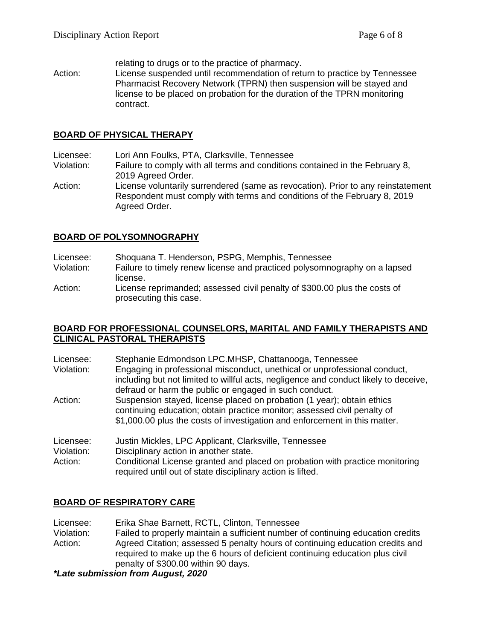relating to drugs or to the practice of pharmacy.

Action: License suspended until recommendation of return to practice by Tennessee Pharmacist Recovery Network (TPRN) then suspension will be stayed and license to be placed on probation for the duration of the TPRN monitoring contract.

#### **BOARD OF PHYSICAL THERAPY**

Licensee: Lori Ann Foulks, PTA, Clarksville, Tennessee

- Violation: Failure to comply with all terms and conditions contained in the February 8, 2019 Agreed Order.
- Action: License voluntarily surrendered (same as revocation). Prior to any reinstatement Respondent must comply with terms and conditions of the February 8, 2019 Agreed Order.

### **BOARD OF POLYSOMNOGRAPHY**

- Licensee: Shoquana T. Henderson, PSPG, Memphis, Tennessee
- Violation: Failure to timely renew license and practiced polysomnography on a lapsed license.
- Action: License reprimanded; assessed civil penalty of \$300.00 plus the costs of prosecuting this case.

#### **BOARD FOR PROFESSIONAL COUNSELORS, MARITAL AND FAMILY THERAPISTS AND CLINICAL PASTORAL THERAPISTS**

| Licensee:  | Stephanie Edmondson LPC.MHSP, Chattanooga, Tennessee                                                                                                                                                                             |
|------------|----------------------------------------------------------------------------------------------------------------------------------------------------------------------------------------------------------------------------------|
| Violation: | Engaging in professional misconduct, unethical or unprofessional conduct,<br>including but not limited to willful acts, negligence and conduct likely to deceive,<br>defraud or harm the public or engaged in such conduct.      |
| Action:    | Suspension stayed, license placed on probation (1 year); obtain ethics<br>continuing education; obtain practice monitor; assessed civil penalty of<br>\$1,000.00 plus the costs of investigation and enforcement in this matter. |
| Licensee:  | Justin Mickles, LPC Applicant, Clarksville, Tennessee                                                                                                                                                                            |
| Violation: | Disciplinary action in another state.                                                                                                                                                                                            |
| Action:    | Conditional License granted and placed on probation with practice monitoring<br>required until out of state disciplinary action is lifted.                                                                                       |

## **BOARD OF RESPIRATORY CARE**

Licensee: Erika Shae Barnett, RCTL, Clinton, Tennessee Violation: Failed to properly maintain a sufficient number of continuing education credits Action: Agreed Citation; assessed 5 penalty hours of continuing education credits and required to make up the 6 hours of deficient continuing education plus civil penalty of \$300.00 within 90 days.

*\*Late submission from August, 2020*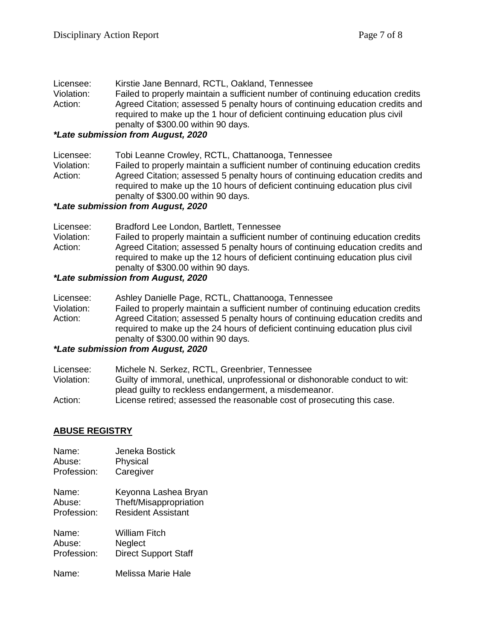| Licensee:  | Kirstie Jane Bennard, RCTL, Oakland, Tennessee                                  |
|------------|---------------------------------------------------------------------------------|
| Violation: | Failed to properly maintain a sufficient number of continuing education credits |
| Action:    | Agreed Citation; assessed 5 penalty hours of continuing education credits and   |
|            | required to make up the 1 hour of deficient continuing education plus civil     |
|            | penalty of \$300.00 within 90 days.                                             |

#### *\*Late submission from August, 2020*

| Licensee:  | Tobi Leanne Crowley, RCTL, Chattanooga, Tennessee                               |
|------------|---------------------------------------------------------------------------------|
| Violation: | Failed to properly maintain a sufficient number of continuing education credits |
| Action:    | Agreed Citation; assessed 5 penalty hours of continuing education credits and   |
|            | required to make up the 10 hours of deficient continuing education plus civil   |
|            | penalty of \$300.00 within 90 days.                                             |

# *\*Late submission from August, 2020*

| Licensee:  | Bradford Lee London, Bartlett, Tennessee                                                                                                                                                              |
|------------|-------------------------------------------------------------------------------------------------------------------------------------------------------------------------------------------------------|
| Violation: | Failed to properly maintain a sufficient number of continuing education credits                                                                                                                       |
| Action:    | Agreed Citation; assessed 5 penalty hours of continuing education credits and<br>required to make up the 12 hours of deficient continuing education plus civil<br>penalty of \$300.00 within 90 days. |

# *\*Late submission from August, 2020*

| Licensee:  | Ashley Danielle Page, RCTL, Chattanooga, Tennessee                                                                                                                                                    |
|------------|-------------------------------------------------------------------------------------------------------------------------------------------------------------------------------------------------------|
| Violation: | Failed to properly maintain a sufficient number of continuing education credits                                                                                                                       |
| Action:    | Agreed Citation; assessed 5 penalty hours of continuing education credits and<br>required to make up the 24 hours of deficient continuing education plus civil<br>penalty of \$300.00 within 90 days. |

# *\*Late submission from August, 2020*

| Licensee:  | Michele N. Serkez, RCTL, Greenbrier, Tennessee                               |
|------------|------------------------------------------------------------------------------|
| Violation: | Guilty of immoral, unethical, unprofessional or dishonorable conduct to wit: |
|            | plead quilty to reckless endangerment, a misdemeanor.                        |
| Action:    | License retired; assessed the reasonable cost of prosecuting this case.      |

### **ABUSE REGISTRY**

| Name:       | Jeneka Bostick              |
|-------------|-----------------------------|
| Abuse:      | Physical                    |
| Profession: | Caregiver                   |
| Name:       | Keyonna Lashea Bryan        |
| Abuse:      | Theft/Misappropriation      |
| Profession: | <b>Resident Assistant</b>   |
| Name:       | William Fitch               |
| Abuse:      | Neglect                     |
| Profession: | <b>Direct Support Staff</b> |
| Name:       | Melissa Marie Hale          |